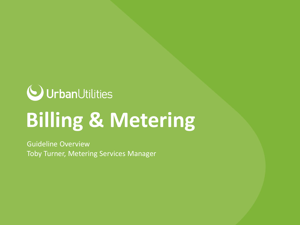

# **Billing & Metering**

Guideline Overview Toby Turner, Metering Services Manager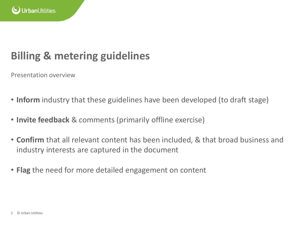

Presentation overview

- **Inform** industry that these guidelines have been developed (to draft stage)
- **Invite feedback** & comments (primarily offline exercise)
- **Confirm** that all relevant content has been included, & that broad business and industry interests are captured in the document
- **Flag** the need for more detailed engagement on content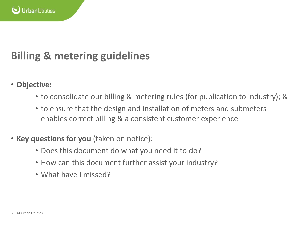

- **Objective:**
	- to consolidate our billing & metering rules (for publication to industry); &
	- to ensure that the design and installation of meters and submeters enables correct billing & a consistent customer experience
- **Key questions for you** (taken on notice):
	- Does this document do what you need it to do?
	- How can this document further assist your industry?
	- What have I missed?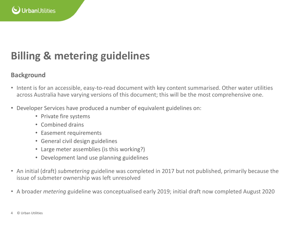

#### **Background**

- Intent is for an accessible, easy-to-read document with key content summarised. Other water utilities across Australia have varying versions of this document; this will be the most comprehensive one.
- Developer Services have produced a number of equivalent guidelines on:
	- Private fire systems
	- Combined drains
	- Easement requirements
	- General civil design guidelines
	- Large meter assemblies (is this working?)
	- Development land use planning guidelines
- An initial (draft) *submetering* guideline was completed in 2017 but not published, primarily because the issue of submeter ownership was left unresolved
- A broader *metering* guideline was conceptualised early 2019; initial draft now completed August 2020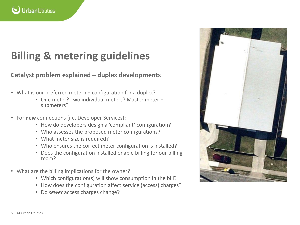

#### **Catalyst problem explained – duplex developments**

- What is our preferred metering configuration for a duplex?
	- One meter? Two individual meters? Master meter + submeters?
- For **new** connections (i.e. Developer Services):
	- How do developers design a 'compliant' configuration?
	- Who assesses the proposed meter configurations?
	- What meter size is required?
	- Who ensures the correct meter configuration is installed?
	- Does the configuration installed enable billing for our billing team?
- What are the billing implications for the owner?
	- Which configuration(s) will show consumption in the bill?
	- How does the configuration affect service (access) charges?
	- Do *sewer* access charges change?

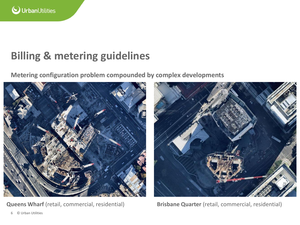

**Metering configuration problem compounded by complex developments** 





**Queens Wharf** (retail, commercial, residential) **Brisbane Quarter** (retail, commercial, residential)

6 © Urban Utilities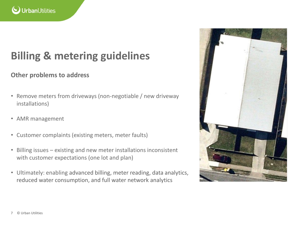

#### **Other problems to address**

- Remove meters from driveways (non-negotiable / new driveway installations)
- AMR management
- Customer complaints (existing meters, meter faults)
- Billing issues existing and new meter installations inconsistent with customer expectations (one lot and plan)
- Ultimately: enabling advanced billing, meter reading, data analytics, reduced water consumption, and full water network analytics

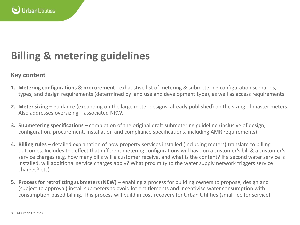

#### **Key content**

- **1. Metering configurations & procurement**  exhaustive list of metering & submetering configuration scenarios, types, and design requirements (determined by land use and development type), as well as access requirements
- **2. Meter sizing –** guidance (expanding on the large meter designs, already published) on the sizing of master meters. Also addresses oversizing + associated NRW.
- **3. Submetering specifications** completion of the original draft submetering guideline (inclusive of design, configuration, procurement, installation and compliance specifications, including AMR requirements)
- **4. Billing rules –** detailed explanation of how property services installed (including meters) translate to billing outcomes. Includes the effect that different metering configurations will have on a customer's bill & a customer's service charges (e.g. how many bills will a customer receive, and what is the content? If a second water service is installed, will additional service charges apply? What proximity to the water supply network triggers service charges? etc)
- **5. Process for retrofitting submeters (NEW)** enabling a process for building owners to propose, design and (subject to approval) install submeters to avoid lot entitlements and incentivise water consumption with consumption-based billing. This process will build in cost-recovery for Urban Utilities (small fee for service).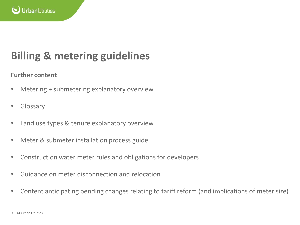

#### **Further content**

- Metering + submetering explanatory overview
- Glossary
- Land use types & tenure explanatory overview
- Meter & submeter installation process guide
- Construction water meter rules and obligations for developers
- Guidance on meter disconnection and relocation
- Content anticipating pending changes relating to tariff reform (and implications of meter size)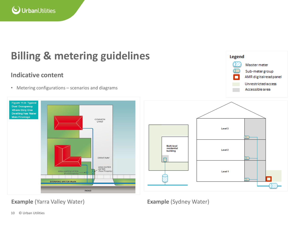

COMMON LAND

**DRIVEWAY** 

MAIN WATER

**ROAD** 

(Rear Property

#### **Indicative content**

Figure 11.3: Typical **Dual Occupancy Where Only One Dwelling has Water Main Frontage** 

• Metering configurations – scenarios and diagrams

MAIN WATER METER

AF count

**DRINKING WATER MAIN** 



Legend

**Example (Yarra Valley Water) Example (Sydney Water) Example (Sydney Water)**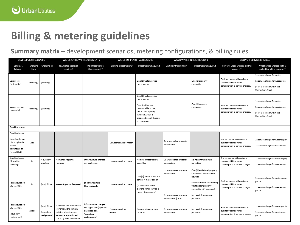**Summary matrix –** development scenarios, metering configurations, & billing rules

| DEVELOPMENT SCENARIO                                                                              |                  | WATER APPROVAL REQUIREMENTS                |                                                                                                                                          | WATER SUPPLY INFRASTRUCTURE                                                                        |                                      | WASTEWATER INFRASTRUCTURE                                                                                                                                                         |                                                                                      | <b>BILLING &amp; SERVICE CHARGES</b>                                                                                                                                                           |                                                                                             |                                                                                                                      |
|---------------------------------------------------------------------------------------------------|------------------|--------------------------------------------|------------------------------------------------------------------------------------------------------------------------------------------|----------------------------------------------------------------------------------------------------|--------------------------------------|-----------------------------------------------------------------------------------------------------------------------------------------------------------------------------------|--------------------------------------------------------------------------------------|------------------------------------------------------------------------------------------------------------------------------------------------------------------------------------------------|---------------------------------------------------------------------------------------------|----------------------------------------------------------------------------------------------------------------------|
| Land Use<br>Category                                                                              | Changing<br>From | Changing to                                | Is A Water approval<br>required?                                                                                                         | Do Infrastructure<br>Charges apply?                                                                | Existing infrastructure <sup>6</sup> | Infrastructure Required <sup>7</sup>                                                                                                                                              | Existing infrastructure <sup>8</sup>                                                 | <b>Infrastructure Required</b>                                                                                                                                                                 | How will Urban Utilities bill this<br>property?                                             | What Service Charges will be<br>applied for billing purposes?                                                        |
| Vacant lot<br>(residential)                                                                       | (Existing)       | (Existing)                                 |                                                                                                                                          |                                                                                                    |                                      | One [1] water service +<br>meter per lot                                                                                                                                          |                                                                                      | One [1] property<br>connection                                                                                                                                                                 | Each lot owner will receive a<br>quarterly bill for water<br>consumption & service charges. | 1x service charge for water<br>1x service charge for wastewater<br>(if lot is located within the<br>Connection Area) |
| Vacant lot (non-<br>residential)                                                                  | (Existing)       | (Existing)                                 |                                                                                                                                          |                                                                                                    |                                      | One [1] water service +<br>meter per lot<br>Note that for non-<br>residential land use,<br>meters are typically<br>installed AFTER a<br>proposed use of the site<br>is confirmed. |                                                                                      | One [1] property<br>connection                                                                                                                                                                 | Each lot owner will receive a<br>quarterly bill for water<br>consumption & service charges. | 1x service charge for water<br>1x service charge for wastewater<br>(if lot is located within the<br>Connection Area) |
| <b>Dwelling house</b>                                                                             |                  |                                            |                                                                                                                                          |                                                                                                    |                                      |                                                                                                                                                                                   |                                                                                      |                                                                                                                                                                                                |                                                                                             |                                                                                                                      |
| Dwelling house<br>(also: battle-axe<br>block, right-of-<br>way &<br>townhouse on<br>freehold lot) | 1 lot            |                                            |                                                                                                                                          |                                                                                                    | 1x water service + meter             |                                                                                                                                                                                   | 1x wastewater property<br>connection                                                 |                                                                                                                                                                                                | The lot owner will receive a<br>quarterly bill for water<br>consumption & service charges.  | 1x service charge for water supply<br>1x service charge for wastewater                                               |
| Dwelling house<br>(& auxiliary<br>dwelling)                                                       | 1 lot            | + auxiliary<br>dwelling                    | No Water Approval<br>Required                                                                                                            | Infrastructure charges<br>not applicable                                                           | 1x water service + meter             | No new infrastructure<br>permitted                                                                                                                                                | 1x wastewater property<br>connection                                                 | No new infrastructure<br>permitted                                                                                                                                                             | The lot owner will receive a<br>quarterly bill for water<br>consumption & service charges.  | 1x service charge for water supply<br>1x service charge for wastewater                                               |
| Reconfiguration<br>of a lot (ROL)                                                                 | 1 lot            | (into) 2 lots                              | <b>Water Approval Required</b>                                                                                                           | \$\$ Infrastructure<br><b>Charges Apply</b>                                                        | 1x water service + meter             | One [1] additional water<br>service + meter per lot<br>(& relocation of the<br>existing water service &<br>meter, if necessary <sup>9</sup> )                                     | 1x wastewater property<br>connection<br>2x wastewater property<br>connections (rare) | One [1] additional property<br>connection to service the<br>new lot<br>(& relocation of the existing<br>wastewater property<br>connection, if necessary)<br>No new infrastructure<br>permitted | Each lot owner will receive a<br>quarterly bill for water<br>consumption & service charges. | 1x service charge for water supply<br>per lot<br>1x service charge for wastewater<br>per lot                         |
| Reconfiguration<br>of a lot (ROL)<br>(boundary<br>realignment)                                    | 2 lots           | (into) 2 lots<br>(boundary<br>realignment) | If the land use within each<br>lot remains the same &<br>existing infrastructure<br>services are positioned<br>correctly WRT the new lot | Infrastructure charges<br>not applicable (typically<br>described as a<br>boundary<br>realignment') | 2x water services +<br>meters        | No new infrastructure<br>required                                                                                                                                                 | 2x wastewater property<br>connections                                                | No new infrastructure<br>permitted                                                                                                                                                             | Each lot owner will receive a<br>quarterly bill for water<br>consumption & service charges. | 1x service charge for water per lot<br>1x service charge for wastewater<br>per lot                                   |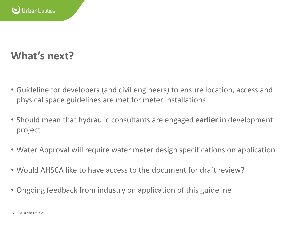

### **What's next?**

- Guideline for developers (and civil engineers) to ensure location, access and physical space guidelines are met for meter installations
- Should mean that hydraulic consultants are engaged **earlier** in development project
- Water Approval will require water meter design specifications on application
- Would AHSCA like to have access to the document for draft review?
- Ongoing feedback from industry on application of this guideline